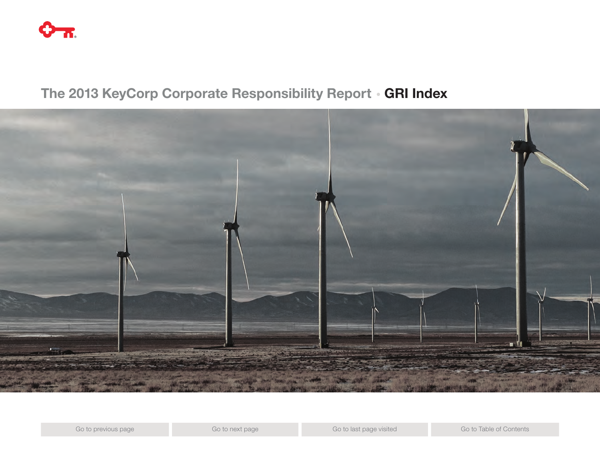

# The 2013 KeyCorp Corporate Responsibility Report • GRI Index

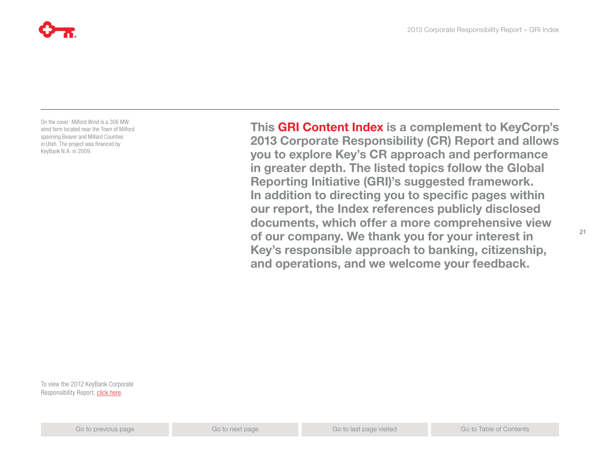

On the cover: Milford Wind is a 306 MW wind farm located near the Town of Milford spanning Beaver and Millard Counties in Utah. The project was financed by KeyBank N.A. in 2009.

This GRI Content Index is a complement to KeyCorp's 2013 Corporate Responsibility (CR) Report and allows you to explore Key's CR approach and performance in greater depth. The listed topics follow the Global Reporting Initiative (GRI)'s suggested framework. In addition to directing you to specific pages within our report, the Index references publicly disclosed

2013 Corporate Responsibility Report – GRI Index

documents, which offer a more comprehensive view of our company. We thank you for your interest in Key's responsible approach to banking, citizenship, and operations, and we welcome your feedback.

To view the 2012 KeyBank Corporate Responsibility Report, [click here.](https://www.key.com/To/key+2012csr)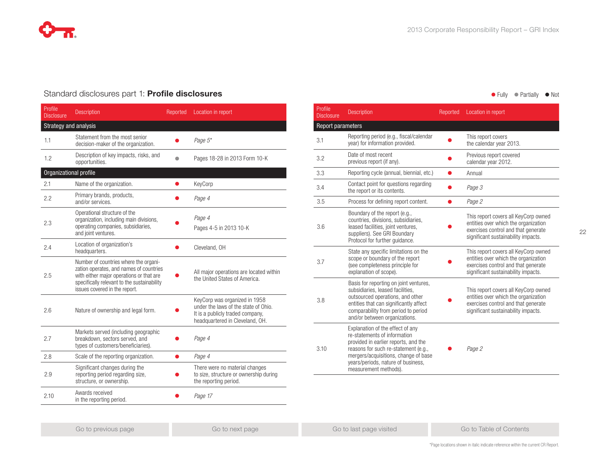

### Standard disclosures part 1: **Profile disclosures** and **Fully and Table 2018** and Fully **Contract Partially Industry of Notice Article 1996** Fully **Contract Partially Industry 1996** Fully **Contract Partially Industry 1996**

| Profile<br><b>Disclosure</b> | <b>Description</b>                                                                                                                                                                                           | Reported | Location in report                                                                                                                           |
|------------------------------|--------------------------------------------------------------------------------------------------------------------------------------------------------------------------------------------------------------|----------|----------------------------------------------------------------------------------------------------------------------------------------------|
| Strategy and analysis        |                                                                                                                                                                                                              |          |                                                                                                                                              |
| 1.1                          | Statement from the most senior<br>decision-maker of the organization.                                                                                                                                        |          | Page 5*                                                                                                                                      |
| 1.2                          | Description of key impacts, risks, and<br>opportunities.                                                                                                                                                     |          | Pages 18-28 in 2013 Form 10-K                                                                                                                |
| Organizational profile       |                                                                                                                                                                                                              |          |                                                                                                                                              |
| 2.1                          | Name of the organization.                                                                                                                                                                                    |          | KeyCorp                                                                                                                                      |
| 2.2                          | Primary brands, products,<br>and/or services.                                                                                                                                                                |          | Page 4                                                                                                                                       |
| 2.3                          | Operational structure of the<br>organization, including main divisions,<br>operating companies, subsidiaries,<br>and joint ventures.                                                                         |          | Page 4<br>Pages 4-5 in 2013 10-K                                                                                                             |
| 2.4                          | Location of organization's<br>headquarters.                                                                                                                                                                  |          | Cleveland, OH                                                                                                                                |
| 2.5                          | Number of countries where the organi-<br>zation operates, and names of countries<br>with either major operations or that are<br>specifically relevant to the sustainability<br>issues covered in the report. |          | All major operations are located within<br>the United States of America.                                                                     |
| 2.6                          | Nature of ownership and legal form.                                                                                                                                                                          |          | KeyCorp was organized in 1958<br>under the laws of the state of Ohio.<br>It is a publicly traded company,<br>headquartered in Cleveland, OH. |
| 2.7                          | Markets served (including geographic<br>breakdown, sectors served, and<br>types of customers/beneficiaries).                                                                                                 |          | Page 4                                                                                                                                       |
| 2.8                          | Scale of the reporting organization.                                                                                                                                                                         |          | Page 4                                                                                                                                       |
| 2.9                          | Significant changes during the<br>reporting period regarding size,<br>structure, or ownership.                                                                                                               |          | There were no material changes<br>to size, structure or ownership during<br>the reporting period.                                            |
| 2.10                         | Awards received<br>in the reporting period.                                                                                                                                                                  |          | Page 17                                                                                                                                      |

22

| Profile<br><b>Disclosure</b> | <b>Description</b>                                                                                                                                                                                                                                      | Reported | Location in report                                                                                                                                         |
|------------------------------|---------------------------------------------------------------------------------------------------------------------------------------------------------------------------------------------------------------------------------------------------------|----------|------------------------------------------------------------------------------------------------------------------------------------------------------------|
| Report parameters            |                                                                                                                                                                                                                                                         |          |                                                                                                                                                            |
| 3.1                          | Reporting period (e.g., fiscal/calendar<br>year) for information provided.                                                                                                                                                                              |          | This report covers<br>the calendar year 2013.                                                                                                              |
| 3.2                          | Date of most recent<br>previous report (if any).                                                                                                                                                                                                        |          | Previous report covered<br>calendar year 2012.                                                                                                             |
| 3.3                          | Reporting cycle (annual, biennial, etc.)                                                                                                                                                                                                                |          | Annual                                                                                                                                                     |
| 3.4                          | Contact point for questions regarding<br>the report or its contents.                                                                                                                                                                                    |          | Page 3                                                                                                                                                     |
| 3.5                          | Process for defining report content.                                                                                                                                                                                                                    |          | Page 2                                                                                                                                                     |
| 3.6                          | Boundary of the report (e.g.,<br>countries, divisions, subsidiaries,<br>leased facilities, joint ventures,<br>suppliers). See GRI Boundary<br>Protocol for further guidance.                                                                            |          | This report covers all KeyCorp owned<br>entities over which the organization<br>exercises control and that generate<br>significant sustainability impacts. |
| 3.7                          | State any specific limitations on the<br>scope or boundary of the report<br>(see completeness principle for<br>explanation of scope).                                                                                                                   |          | This report covers all KeyCorp owned<br>entities over which the organization<br>exercises control and that generate<br>significant sustainability impacts. |
| 3.8                          | Basis for reporting on joint ventures,<br>subsidiaries, leased facilities,<br>outsourced operations, and other<br>entities that can significantly affect<br>comparability from period to period<br>and/or between organizations.                        |          | This report covers all KeyCorp owned<br>entities over which the organization<br>exercises control and that generate<br>significant sustainability impacts. |
| 3.10                         | Explanation of the effect of any<br>re-statements of information<br>provided in earlier reports, and the<br>reasons for such re-statement (e.g.,<br>mergers/acquisitions, change of base<br>years/periods, nature of business,<br>measurement methods). |          | Page 2                                                                                                                                                     |

\*Page locations shown in italic indicate reference within the current CR Report.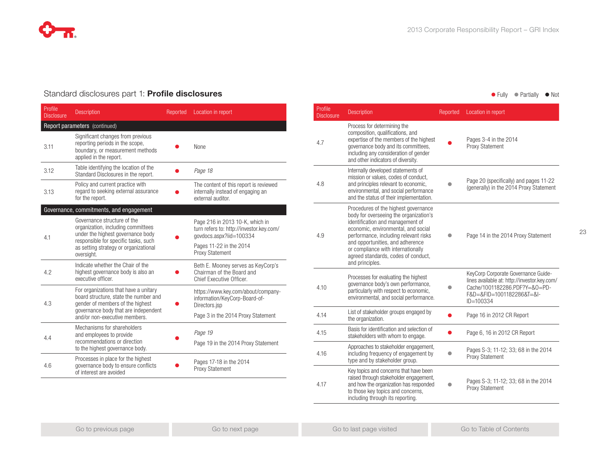

### Standard disclosures part 1: Profile disclosures

| Profile<br><b>Disclosure</b> | <b>Description</b>                                                                                                                                         | Reported | Location in report                                                                                     |
|------------------------------|------------------------------------------------------------------------------------------------------------------------------------------------------------|----------|--------------------------------------------------------------------------------------------------------|
|                              | Report parameters (continued)                                                                                                                              |          |                                                                                                        |
| 3.11                         | Significant changes from previous<br>reporting periods in the scope,<br>boundary, or measurement methods<br>applied in the report.                         |          | None                                                                                                   |
| 3.12                         | Table identifying the location of the<br>Standard Disclosures in the report.                                                                               |          | Page 18                                                                                                |
| 3.13                         | Policy and current practice with<br>regard to seeking external assurance<br>for the report.                                                                |          | The content of this report is reviewed<br>internally instead of engaging an<br>external auditor.       |
|                              | Governance, commitments, and engagement                                                                                                                    |          |                                                                                                        |
| 4.1                          | Governance structure of the<br>organization, including committees<br>under the highest governance body<br>responsible for specific tasks, such             |          | Page 216 in 2013 10-K, which in<br>turn refers to: http://investor.key.com/<br>qovdocs.aspx?iid=100334 |
|                              | as setting strategy or organizational<br>oversight.                                                                                                        |          | Pages 11-22 in the 2014<br>Proxy Statement                                                             |
| 4.2                          | Indicate whether the Chair of the<br>highest governance body is also an<br>executive officer.                                                              |          | Beth E. Mooney serves as KeyCorp's<br>Chairman of the Board and<br>Chief Executive Officer.            |
| 4.3                          | For organizations that have a unitary<br>board structure, state the number and<br>gender of members of the highest<br>governance body that are independent |          | https://www.key.com/about/company-<br>information/KeyCorp-Board-of-<br>Directors.jsp                   |
|                              | and/or non-executive members.                                                                                                                              |          | Page 3 in the 2014 Proxy Statement                                                                     |
|                              | Mechanisms for shareholders<br>and employees to provide                                                                                                    |          | Page 19                                                                                                |
| 4.4                          | recommendations or direction<br>to the highest governance body.                                                                                            |          | Page 19 in the 2014 Proxy Statement                                                                    |
| 4.6                          | Processes in place for the highest<br>governance body to ensure conflicts<br>of interest are avoided                                                       |          | Pages 17-18 in the 2014<br><b>Proxy Statement</b>                                                      |

### ● Fully ● Partially ● Not

| Profile<br><b>Disclosure</b> | <b>Description</b>                                                                                                                                                                                                                                                                                                                     | Reported | Location in report                                                                                                                                                 |
|------------------------------|----------------------------------------------------------------------------------------------------------------------------------------------------------------------------------------------------------------------------------------------------------------------------------------------------------------------------------------|----------|--------------------------------------------------------------------------------------------------------------------------------------------------------------------|
| 4.7                          | Process for determining the<br>composition, qualifications, and<br>expertise of the members of the highest<br>governance body and its committees,<br>including any consideration of gender<br>and other indicators of diversity.                                                                                                       |          | Pages 3-4 in the 2014<br><b>Proxy Statement</b>                                                                                                                    |
| 4.8                          | Internally developed statements of<br>mission or values, codes of conduct,<br>and principles relevant to economic,<br>environmental, and social performance<br>and the status of their implementation.                                                                                                                                 |          | Page 20 (specifically) and pages 11-22<br>(generally) in the 2014 Proxy Statement                                                                                  |
| 4.9                          | Procedures of the highest governance<br>body for overseeing the organization's<br>identification and management of<br>economic, environmental, and social<br>performance, including relevant risks<br>and opportunities, and adherence<br>or compliance with internationally<br>agreed standards, codes of conduct,<br>and principles. |          | Page 14 in the 2014 Proxy Statement                                                                                                                                |
| 4.10                         | Processes for evaluating the highest<br>governance body's own performance,<br>particularly with respect to economic,<br>environmental, and social performance.                                                                                                                                                                         |          | KeyCorp Corporate Governance Guide-<br>lines available at: http://investor.key.com/<br>Cache/1001182286.PDF?Y=&0=PD-<br>F&D=&FID=1001182286&T=&I-<br>$ID = 100334$ |
| 4.14                         | List of stakeholder groups engaged by<br>the organization.                                                                                                                                                                                                                                                                             |          | Page 16 in 2012 CR Report                                                                                                                                          |
| 4.15                         | Basis for identification and selection of<br>stakeholders with whom to engage.                                                                                                                                                                                                                                                         |          | Page 6, 16 in 2012 CR Report                                                                                                                                       |
| 4.16                         | Approaches to stakeholder engagement,<br>including frequency of engagement by<br>type and by stakeholder group.                                                                                                                                                                                                                        |          | Pages S-3; 11-12; 33; 68 in the 2014<br>Proxy Statement                                                                                                            |
| 4.17                         | Key topics and concerns that have been<br>raised through stakeholder engagement,<br>and how the organization has responded<br>to those key topics and concerns,<br>including through its reporting.                                                                                                                                    |          | Pages S-3; 11-12; 33; 68 in the 2014<br><b>Proxy Statement</b>                                                                                                     |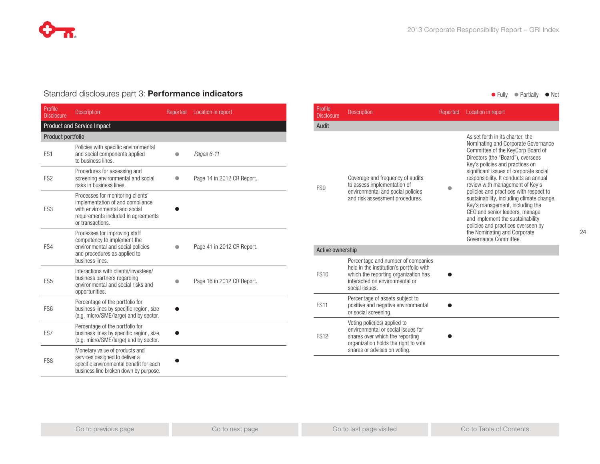

### Standard disclosures part 3: **Performance indicators** and **Exercise 2018** and **Containers** and **Containers** and **Containers** and **Containers** and **Containers** and **Containers** and **Containers** and **Containers** and **Contain**

| Profile<br><b>Disclosure</b> | <b>Description</b>                                                                                                                                                | Reported | Location in report         |
|------------------------------|-------------------------------------------------------------------------------------------------------------------------------------------------------------------|----------|----------------------------|
|                              | <b>Product and Service Impact</b>                                                                                                                                 |          |                            |
| Product portfolio            |                                                                                                                                                                   |          |                            |
| FS <sub>1</sub>              | Policies with specific environmental<br>and social components applied<br>to business lines.                                                                       |          | Pages 6-11                 |
| FS <sub>2</sub>              | Procedures for assessing and<br>screening environmental and social<br>risks in business lines.                                                                    |          | Page 14 in 2012 CR Report. |
| FS3                          | Processes for monitoring clients'<br>implementation of and compliance<br>with environmental and social<br>requirements included in agreements<br>or transactions. |          |                            |
| FS4                          | Processes for improving staff<br>competency to implement the<br>environmental and social policies<br>and procedures as applied to<br>business lines.              |          | Page 41 in 2012 CR Report. |
| FS <sub>5</sub>              | Interactions with clients/investees/<br>business partners regarding<br>environmental and social risks and<br>opportunities.                                       |          | Page 16 in 2012 CR Report. |
| FS <sub>6</sub>              | Percentage of the portfolio for<br>business lines by specific region, size<br>(e.g. micro/SME/large) and by sector.                                               |          |                            |
| FS7                          | Percentage of the portfolio for<br>business lines by specific region, size<br>(e.g. micro/SME/large) and by sector.                                               |          |                            |
| FS <sub>8</sub>              | Monetary value of products and<br>services designed to deliver a<br>specific environmental benefit for each<br>business line broken down by purpose.              |          |                            |

| Profile<br><b>Disclosure</b> | <b>Description</b>                                                                                                                                                            | Reported | Location in report                                                                                                                                                                                                                                                                                                                                                                                                                                                                                                                                                                                        |
|------------------------------|-------------------------------------------------------------------------------------------------------------------------------------------------------------------------------|----------|-----------------------------------------------------------------------------------------------------------------------------------------------------------------------------------------------------------------------------------------------------------------------------------------------------------------------------------------------------------------------------------------------------------------------------------------------------------------------------------------------------------------------------------------------------------------------------------------------------------|
| Audit                        |                                                                                                                                                                               |          |                                                                                                                                                                                                                                                                                                                                                                                                                                                                                                                                                                                                           |
| FS9                          | Coverage and frequency of audits<br>to assess implementation of<br>environmental and social policies<br>and risk assessment procedures.                                       |          | As set forth in its charter, the<br>Nominating and Corporate Governance<br>Committee of the KeyCorp Board of<br>Directors (the "Board"), oversees<br>Key's policies and practices on<br>significant issues of corporate social<br>responsibility. It conducts an annual<br>review with management of Key's<br>policies and practices with respect to<br>sustainability, including climate change.<br>Key's management, including the<br>CEO and senior leaders, manage<br>and implement the sustainability<br>policies and practices overseen by<br>the Nominating and Corporate<br>Governance Committee. |
| Active ownership             |                                                                                                                                                                               |          |                                                                                                                                                                                                                                                                                                                                                                                                                                                                                                                                                                                                           |
| <b>FS10</b>                  | Percentage and number of companies<br>held in the institution's portfolio with<br>which the reporting organization has<br>interacted on environmental or<br>social issues.    |          |                                                                                                                                                                                                                                                                                                                                                                                                                                                                                                                                                                                                           |
| <b>FS11</b>                  | Percentage of assets subject to<br>positive and negative environmental<br>or social screening.                                                                                |          |                                                                                                                                                                                                                                                                                                                                                                                                                                                                                                                                                                                                           |
| <b>FS12</b>                  | Voting polic(ies) applied to<br>environmental or social issues for<br>shares over which the reporting<br>organization holds the right to vote<br>shares or advises on voting. |          |                                                                                                                                                                                                                                                                                                                                                                                                                                                                                                                                                                                                           |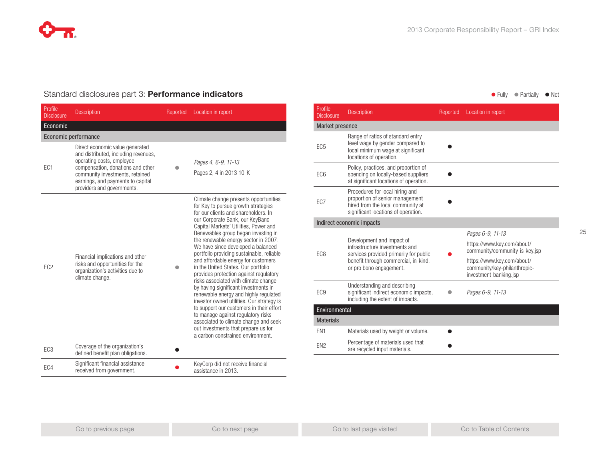

### Standard disclosures part 3: **Performance indicators** and **Exercise 2018** and **Containery of Partially Containery of Partially Containery of Partially Containery of Noting 1999 and Containery of Noting 1999 and Containery**

| Profile<br><b>Disclosure</b> | <b>Description</b>                                                                                                                                                                                                                              | Reported | Location in report                                                                                                                                                                                                                                                                                                                                                                                                                                                                                                                                                                                                                                                                                                                                                                                                                                                      |
|------------------------------|-------------------------------------------------------------------------------------------------------------------------------------------------------------------------------------------------------------------------------------------------|----------|-------------------------------------------------------------------------------------------------------------------------------------------------------------------------------------------------------------------------------------------------------------------------------------------------------------------------------------------------------------------------------------------------------------------------------------------------------------------------------------------------------------------------------------------------------------------------------------------------------------------------------------------------------------------------------------------------------------------------------------------------------------------------------------------------------------------------------------------------------------------------|
| Economic                     |                                                                                                                                                                                                                                                 |          |                                                                                                                                                                                                                                                                                                                                                                                                                                                                                                                                                                                                                                                                                                                                                                                                                                                                         |
|                              | Economic performance                                                                                                                                                                                                                            |          |                                                                                                                                                                                                                                                                                                                                                                                                                                                                                                                                                                                                                                                                                                                                                                                                                                                                         |
| EC <sub>1</sub>              | Direct economic value generated<br>and distributed, including revenues,<br>operating costs, employee<br>compensation, donations and other<br>community investments, retained<br>earnings, and payments to capital<br>providers and governments. |          | Pages 4, 6-9, 11-13<br>Pages 2, 4 in 2013 10-K                                                                                                                                                                                                                                                                                                                                                                                                                                                                                                                                                                                                                                                                                                                                                                                                                          |
| EC <sub>2</sub>              | Financial implications and other<br>risks and opportunities for the<br>organization's activities due to<br>climate change.                                                                                                                      |          | Climate change presents opportunities<br>for Key to pursue growth strategies<br>for our clients and shareholders. In<br>our Corporate Bank, our KeyBanc<br>Capital Markets' Utilities, Power and<br>Renewables group began investing in<br>the renewable energy sector in 2007.<br>We have since developed a balanced<br>portfolio providing sustainable, reliable<br>and affordable energy for customers<br>in the United States. Our portfolio<br>provides protection against regulatory<br>risks associated with climate change<br>by having significant investments in<br>renewable energy and highly regulated<br>investor owned utilities. Our strategy is<br>to support our customers in their effort<br>to manage against regulatory risks<br>associated to climate change and seek<br>out investments that prepare us for<br>a carbon constrained environment. |
| EC <sub>3</sub>              | Coverage of the organization's<br>defined benefit plan obligations.                                                                                                                                                                             |          |                                                                                                                                                                                                                                                                                                                                                                                                                                                                                                                                                                                                                                                                                                                                                                                                                                                                         |
| EC4                          | Significant financial assistance<br>received from government.                                                                                                                                                                                   |          | KeyCorp did not receive financial<br>assistance in 2013.                                                                                                                                                                                                                                                                                                                                                                                                                                                                                                                                                                                                                                                                                                                                                                                                                |

| Profile<br><b>Disclosure</b> | <b>Description</b>                                                                                                                                                       | Reported | Location in report                                                                                                                                                       |  |  |  |
|------------------------------|--------------------------------------------------------------------------------------------------------------------------------------------------------------------------|----------|--------------------------------------------------------------------------------------------------------------------------------------------------------------------------|--|--|--|
|                              | Market presence                                                                                                                                                          |          |                                                                                                                                                                          |  |  |  |
| EC <sub>5</sub>              | Range of ratios of standard entry<br>level wage by gender compared to<br>local minimum wage at significant<br>locations of operation.                                    |          |                                                                                                                                                                          |  |  |  |
| EC <sub>6</sub>              | Policy, practices, and proportion of<br>spending on locally-based suppliers<br>at significant locations of operation.                                                    |          |                                                                                                                                                                          |  |  |  |
| EC7                          | Procedures for local hiring and<br>proportion of senior management<br>hired from the local community at<br>significant locations of operation.                           |          |                                                                                                                                                                          |  |  |  |
|                              | Indirect economic impacts                                                                                                                                                |          |                                                                                                                                                                          |  |  |  |
| EC <sub>8</sub>              | Development and impact of<br>infrastructure investments and<br>services provided primarily for public<br>benefit through commercial, in-kind,<br>or pro bono engagement. |          | Pages 6-9, 11-13<br>https://www.key.com/about/<br>community/community-is-key.jsp<br>https://www.key.com/about/<br>community/key-philanthropic-<br>investment-banking.jsp |  |  |  |
| EC <sub>9</sub>              | Understanding and describing<br>significant indirect economic impacts,<br>including the extent of impacts.                                                               |          | Pages 6-9, 11-13                                                                                                                                                         |  |  |  |
| Environmental                |                                                                                                                                                                          |          |                                                                                                                                                                          |  |  |  |
| <b>Materials</b>             |                                                                                                                                                                          |          |                                                                                                                                                                          |  |  |  |
| EN <sub>1</sub>              | Materials used by weight or volume.                                                                                                                                      |          |                                                                                                                                                                          |  |  |  |
| EN <sub>2</sub>              | Percentage of materials used that<br>are recycled input materials.                                                                                                       |          |                                                                                                                                                                          |  |  |  |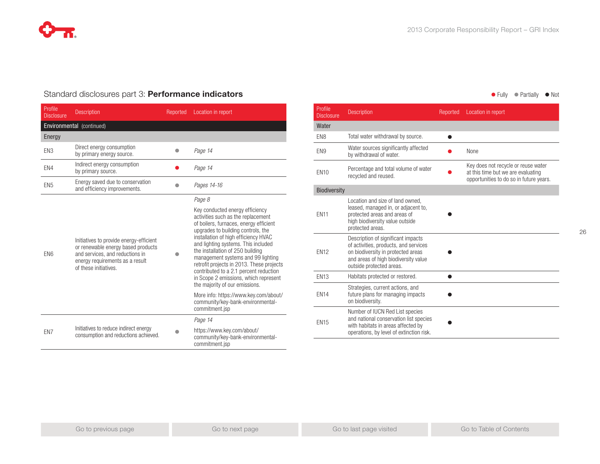### Standard disclosures part 3: **Performance indicators** and **Exercise 2018** and **Containery of Partially Containery of Partially Containery of Partially Containery of Noting 1999 and Containery of Noting 1999 and Containery**

| Profile<br><b>Disclosure</b> | <b>Description</b>                                                                                                                                                           | Reported | Location in report                                                                                                                                                                                                                                                                                                                                                                                                                                                               |
|------------------------------|------------------------------------------------------------------------------------------------------------------------------------------------------------------------------|----------|----------------------------------------------------------------------------------------------------------------------------------------------------------------------------------------------------------------------------------------------------------------------------------------------------------------------------------------------------------------------------------------------------------------------------------------------------------------------------------|
|                              | Environmental (continued)                                                                                                                                                    |          |                                                                                                                                                                                                                                                                                                                                                                                                                                                                                  |
| Energy                       |                                                                                                                                                                              |          |                                                                                                                                                                                                                                                                                                                                                                                                                                                                                  |
| EN3                          | Direct energy consumption<br>by primary energy source.                                                                                                                       |          | Page 14                                                                                                                                                                                                                                                                                                                                                                                                                                                                          |
| EN4                          | Indirect energy consumption<br>by primary source.                                                                                                                            |          | Page 14                                                                                                                                                                                                                                                                                                                                                                                                                                                                          |
| EN <sub>5</sub>              | Energy saved due to conservation<br>and efficiency improvements.                                                                                                             |          | Pages 14-16                                                                                                                                                                                                                                                                                                                                                                                                                                                                      |
|                              |                                                                                                                                                                              |          | Page 8                                                                                                                                                                                                                                                                                                                                                                                                                                                                           |
| EN <sub>6</sub>              | Initiatives to provide energy-efficient<br>or renewable energy based products<br>and services, and reductions in<br>energy requirements as a result<br>of these initiatives. |          | Key conducted energy efficiency<br>activities such as the replacement<br>of boilers, furnaces, energy efficient<br>upgrades to building controls, the<br>installation of high efficiency HVAC<br>and lighting systems. This included<br>the installation of 250 building<br>management systems and 99 lighting<br>retrofit projects in 2013. These projects<br>contributed to a 2.1 percent reduction<br>in Scope 2 emissions, which represent<br>the majority of our emissions. |
|                              |                                                                                                                                                                              |          | More info: https://www.key.com/about/<br>community/key-bank-environmental-<br>commitment.jsp                                                                                                                                                                                                                                                                                                                                                                                     |
|                              |                                                                                                                                                                              |          | Page 14                                                                                                                                                                                                                                                                                                                                                                                                                                                                          |
| EN7                          | Initiatives to reduce indirect energy<br>consumption and reductions achieved.                                                                                                |          | https://www.key.com/about/<br>community/key-bank-environmental-<br>commitment.jsp                                                                                                                                                                                                                                                                                                                                                                                                |

| Profile<br><b>Disclosure</b> | <b>Description</b>                                                                                                                                                                    | Reported | Location in report                                                                                                   |
|------------------------------|---------------------------------------------------------------------------------------------------------------------------------------------------------------------------------------|----------|----------------------------------------------------------------------------------------------------------------------|
| Water                        |                                                                                                                                                                                       |          |                                                                                                                      |
| EN <sub>8</sub>              | Total water withdrawal by source.                                                                                                                                                     | ▲        |                                                                                                                      |
| EN <sub>9</sub>              | Water sources significantly affected<br>by withdrawal of water.                                                                                                                       |          | None                                                                                                                 |
| <b>EN10</b>                  | Percentage and total volume of water<br>recycled and reused.                                                                                                                          |          | Key does not recycle or reuse water<br>at this time but we are evaluating<br>opportunities to do so in future years. |
| <b>Biodiversity</b>          |                                                                                                                                                                                       |          |                                                                                                                      |
| <b>FN11</b>                  | Location and size of land owned.<br>leased, managed in, or adjacent to,<br>protected areas and areas of<br>high biodiversity value outside<br>protected areas.                        |          |                                                                                                                      |
| <b>EN12</b>                  | Description of significant impacts<br>of activities, products, and services<br>on biodiversity in protected areas<br>and areas of high biodiversity value<br>outside protected areas. |          |                                                                                                                      |
| <b>EN13</b>                  | Habitats protected or restored.                                                                                                                                                       |          |                                                                                                                      |
| <b>EN14</b>                  | Strategies, current actions, and<br>future plans for managing impacts<br>on biodiversity.                                                                                             |          |                                                                                                                      |
| <b>EN15</b>                  | Number of IUCN Red List species<br>and national conservation list species<br>with habitats in areas affected by<br>operations, by level of extinction risk.                           |          |                                                                                                                      |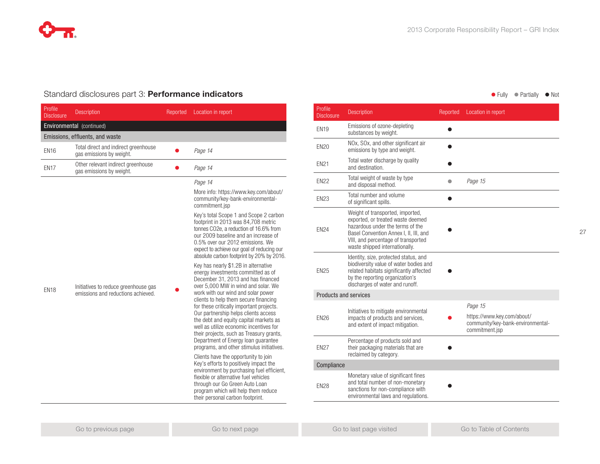### Standard disclosures part 3: **Performance indicators** and **Exercise 2018** and **Containery of Partially Containery of Partially Containery of Partially Containery of Noting 1999 and Containery of Noting 1999 and Containery**

| Profile<br><b>Disclosure</b> | <b>Description</b>                                                         | Reported | Location in report                                                                                                                                                                                                                                                                                                                                                                                                                                                                                                                              |
|------------------------------|----------------------------------------------------------------------------|----------|-------------------------------------------------------------------------------------------------------------------------------------------------------------------------------------------------------------------------------------------------------------------------------------------------------------------------------------------------------------------------------------------------------------------------------------------------------------------------------------------------------------------------------------------------|
|                              | Environmental (continued)                                                  |          |                                                                                                                                                                                                                                                                                                                                                                                                                                                                                                                                                 |
|                              | Emissions, effluents, and waste                                            |          |                                                                                                                                                                                                                                                                                                                                                                                                                                                                                                                                                 |
| <b>EN16</b>                  | Total direct and indirect greenhouse<br>gas emissions by weight.           |          | Page 14                                                                                                                                                                                                                                                                                                                                                                                                                                                                                                                                         |
| <b>EN17</b>                  | Other relevant indirect greenhouse<br>gas emissions by weight.             |          | Page 14                                                                                                                                                                                                                                                                                                                                                                                                                                                                                                                                         |
|                              |                                                                            |          | Page 14                                                                                                                                                                                                                                                                                                                                                                                                                                                                                                                                         |
| <b>EN18</b>                  |                                                                            |          | More info: https://www.key.com/about/<br>community/key-bank-environmental-<br>commitment.jsp                                                                                                                                                                                                                                                                                                                                                                                                                                                    |
|                              | Initiatives to reduce greenhouse gas<br>emissions and reductions achieved. |          | Key's total Scope 1 and Scope 2 carbon<br>footprint in 2013 was 84,708 metric<br>tonnes CO2e, a reduction of 16.6% from<br>our 2009 baseline and an increase of<br>0.5% over our 2012 emissions. We<br>expect to achieve our goal of reducing our<br>absolute carbon footprint by 20% by 2016.                                                                                                                                                                                                                                                  |
|                              |                                                                            |          | Key has nearly \$1.2B in alternative<br>energy investments committed as of<br>December 31, 2013 and has financed<br>over 5,000 MW in wind and solar. We<br>work with our wind and solar power<br>clients to help them secure financing<br>for these critically important projects.<br>Our partnership helps clients access<br>the debt and equity capital markets as<br>well as utilize economic incentives for<br>their projects, such as Treasury grants,<br>Department of Energy loan guarantee<br>programs, and other stimulus initiatives. |
|                              |                                                                            |          | Clients have the opportunity to join<br>Key's efforts to positively impact the<br>environment by purchasing fuel efficient,<br>flexible or alternative fuel vehicles<br>through our Go Green Auto Loan<br>program which will help them reduce<br>their personal carbon footprint.                                                                                                                                                                                                                                                               |

| Profile<br><b>Disclosure</b> | <b>Description</b>                                                                                                                                                                                                           | Reported | Location in report                                                                |
|------------------------------|------------------------------------------------------------------------------------------------------------------------------------------------------------------------------------------------------------------------------|----------|-----------------------------------------------------------------------------------|
| <b>FN19</b>                  | Emissions of ozone-depleting<br>substances by weight.                                                                                                                                                                        |          |                                                                                   |
| <b>EN20</b>                  | NOx, SOx, and other significant air<br>emissions by type and weight.                                                                                                                                                         |          |                                                                                   |
| <b>EN21</b>                  | Total water discharge by quality<br>and destination.                                                                                                                                                                         |          |                                                                                   |
| <b>EN22</b>                  | Total weight of waste by type<br>and disposal method.                                                                                                                                                                        | ●        | Page 15                                                                           |
| <b>EN23</b>                  | Total number and volume<br>of significant spills.                                                                                                                                                                            |          |                                                                                   |
| <b>EN24</b>                  | Weight of transported, imported,<br>exported, or treated waste deemed<br>hazardous under the terms of the<br>Basel Convention Annex I. II. III. and<br>VIII, and percentage of transported<br>waste shipped internationally. |          |                                                                                   |
| <b>EN25</b>                  | Identity, size, protected status, and<br>biodiversity value of water bodies and<br>related habitats significantly affected<br>by the reporting organization's<br>discharges of water and runoff.                             |          |                                                                                   |
| Products and services        |                                                                                                                                                                                                                              |          |                                                                                   |
|                              | Initiatives to mitigate environmental                                                                                                                                                                                        |          | Page 15                                                                           |
| <b>EN26</b>                  | impacts of products and services,<br>and extent of impact mitigation.                                                                                                                                                        |          | https://www.key.com/about/<br>community/key-bank-environmental-<br>commitment.jsp |
| <b>EN27</b>                  | Percentage of products sold and<br>their packaging materials that are<br>reclaimed by category.                                                                                                                              |          |                                                                                   |
| Compliance                   |                                                                                                                                                                                                                              |          |                                                                                   |
| <b>EN28</b>                  | Monetary value of significant fines<br>and total number of non-monetary<br>sanctions for non-compliance with<br>environmental laws and regulations.                                                                          |          |                                                                                   |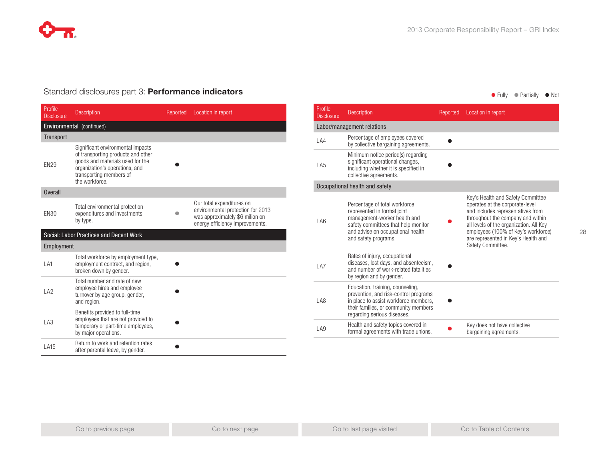

## Standard disclosures part 3: **Performance indicators** and **Equipment Containers** and **Containers** of Fully legality like Not

| Profile<br><b>Disclosure</b> | <b>Description</b>                                                                                                                                                                         | Reported | Location in report                                                                                                                   |
|------------------------------|--------------------------------------------------------------------------------------------------------------------------------------------------------------------------------------------|----------|--------------------------------------------------------------------------------------------------------------------------------------|
|                              | Environmental (continued)                                                                                                                                                                  |          |                                                                                                                                      |
| Transport                    |                                                                                                                                                                                            |          |                                                                                                                                      |
| <b>EN29</b>                  | Significant environmental impacts<br>of transporting products and other<br>goods and materials used for the<br>organization's operations, and<br>transporting members of<br>the workforce. |          |                                                                                                                                      |
| <b>Overall</b>               |                                                                                                                                                                                            |          |                                                                                                                                      |
| <b>EN30</b>                  | Total environmental protection<br>expenditures and investments<br>by type.                                                                                                                 |          | Our total expenditures on<br>environmental protection for 2013<br>was approximately \$6 milion on<br>energy efficiency improvements. |
|                              | Social: Labor Practices and Decent Work                                                                                                                                                    |          |                                                                                                                                      |
| Employment                   |                                                                                                                                                                                            |          |                                                                                                                                      |
| LA1                          | Total workforce by employment type,<br>employment contract, and region,<br>broken down by gender.                                                                                          |          |                                                                                                                                      |
| LA <sub>2</sub>              | Total number and rate of new<br>employee hires and employee<br>turnover by age group, gender,<br>and region.                                                                               |          |                                                                                                                                      |
| LA3                          | Benefits provided to full-time<br>employees that are not provided to<br>temporary or part-time employees,<br>by major operations.                                                          |          |                                                                                                                                      |
| LA15                         | Return to work and retention rates<br>after parental leave, by gender.                                                                                                                     |          |                                                                                                                                      |

| Profile<br><b>Disclosure</b> | <b>Description</b>                                                                                                                                                                               | Reported | Location in report                                                                                                                                                                                                                                                                           |  |
|------------------------------|--------------------------------------------------------------------------------------------------------------------------------------------------------------------------------------------------|----------|----------------------------------------------------------------------------------------------------------------------------------------------------------------------------------------------------------------------------------------------------------------------------------------------|--|
| Labor/management relations   |                                                                                                                                                                                                  |          |                                                                                                                                                                                                                                                                                              |  |
| LA4                          | Percentage of employees covered<br>by collective bargaining agreements.                                                                                                                          |          |                                                                                                                                                                                                                                                                                              |  |
| LA5                          | Minimum notice period(s) regarding<br>significant operational changes,<br>including whether it is specified in<br>collective agreements.                                                         |          |                                                                                                                                                                                                                                                                                              |  |
|                              | Occupational health and safety                                                                                                                                                                   |          |                                                                                                                                                                                                                                                                                              |  |
| LA6                          | Percentage of total workforce<br>represented in formal joint<br>management-worker health and<br>safety committees that help monitor<br>and advise on occupational health<br>and safety programs. |          | Key's Health and Safety Committee<br>operates at the corporate-level<br>and includes representatives from<br>throughout the company and within<br>all levels of the organization. All Key<br>employees (100% of Key's workforce)<br>are represented in Key's Health and<br>Safety Committee. |  |
| 1 A7                         | Rates of injury, occupational<br>diseases, lost days, and absenteeism,<br>and number of work-related fatalities<br>by region and by gender.                                                      |          |                                                                                                                                                                                                                                                                                              |  |
| 1 A <sub>8</sub>             | Education, training, counseling,<br>prevention, and risk-control programs<br>in place to assist workforce members,<br>their families, or community members<br>regarding serious diseases.        |          |                                                                                                                                                                                                                                                                                              |  |
| LA9                          | Health and safety topics covered in<br>formal agreements with trade unions.                                                                                                                      |          | Key does not have collective<br>bargaining agreements.                                                                                                                                                                                                                                       |  |
|                              |                                                                                                                                                                                                  |          |                                                                                                                                                                                                                                                                                              |  |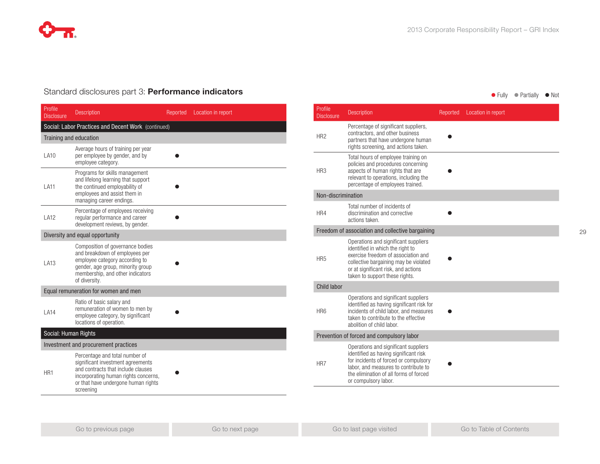

## Standard disclosures part 3: **Performance indicators and the state of the state of the Standard disclosures part 3: Performance indicators and the Standard Contract of Partially I** Not

| Profile<br><b>Disclosure</b>         | <b>Description</b>                                                                                                                                                                                    | Reported | Location in report |  |  |
|--------------------------------------|-------------------------------------------------------------------------------------------------------------------------------------------------------------------------------------------------------|----------|--------------------|--|--|
|                                      | Social: Labor Practices and Decent Work (continued)                                                                                                                                                   |          |                    |  |  |
| Training and education               |                                                                                                                                                                                                       |          |                    |  |  |
| <b>LA10</b>                          | Average hours of training per year<br>per employee by gender, and by<br>employee category.                                                                                                            |          |                    |  |  |
| LA11                                 | Programs for skills management<br>and lifelong learning that support<br>the continued employability of<br>employees and assist them in<br>managing career endings.                                    |          |                    |  |  |
| LA12                                 | Percentage of employees receiving<br>regular performance and career<br>development reviews, by gender.                                                                                                |          |                    |  |  |
|                                      | Diversity and equal opportunity                                                                                                                                                                       |          |                    |  |  |
| LA13                                 | Composition of governance bodies<br>and breakdown of employees per<br>employee category according to<br>gender, age group, minority group<br>membership, and other indicators<br>of diversity.        |          |                    |  |  |
|                                      | Equal remuneration for women and men                                                                                                                                                                  |          |                    |  |  |
| LA14                                 | Ratio of basic salary and<br>remuneration of women to men by<br>employee category, by significant<br>locations of operation.                                                                          |          |                    |  |  |
| Social: Human Rights                 |                                                                                                                                                                                                       |          |                    |  |  |
| Investment and procurement practices |                                                                                                                                                                                                       |          |                    |  |  |
| HR1                                  | Percentage and total number of<br>significant investment agreements<br>and contracts that include clauses<br>incorporating human rights concerns,<br>or that have undergone human rights<br>screening |          |                    |  |  |

| Profile<br><b>Disclosure</b>              | <b>Description</b>                                                                                                                                                                                                                | Reported | Location in report |  |
|-------------------------------------------|-----------------------------------------------------------------------------------------------------------------------------------------------------------------------------------------------------------------------------------|----------|--------------------|--|
| HR <sub>2</sub>                           | Percentage of significant suppliers,<br>contractors, and other business<br>partners that have undergone human<br>rights screening, and actions taken.                                                                             |          |                    |  |
| HR <sub>3</sub>                           | Total hours of employee training on<br>policies and procedures concerning<br>aspects of human rights that are<br>relevant to operations, including the<br>percentage of employees trained.                                        |          |                    |  |
| Non-discrimination                        |                                                                                                                                                                                                                                   |          |                    |  |
| HR4                                       | Total number of incidents of<br>discrimination and corrective<br>actions taken.                                                                                                                                                   |          |                    |  |
|                                           | Freedom of association and collective bargaining                                                                                                                                                                                  |          |                    |  |
| HR <sub>5</sub>                           | Operations and significant suppliers<br>identified in which the right to<br>exercise freedom of association and<br>collective bargaining may be violated<br>or at significant risk, and actions<br>taken to support these rights. |          |                    |  |
| Child labor                               |                                                                                                                                                                                                                                   |          |                    |  |
| HR <sub>6</sub>                           | Operations and significant suppliers<br>identified as having significant risk for<br>incidents of child labor, and measures<br>taken to contribute to the effective<br>abolition of child labor.                                  |          |                    |  |
| Prevention of forced and compulsory labor |                                                                                                                                                                                                                                   |          |                    |  |
| HR7                                       | Operations and significant suppliers<br>identified as having significant risk<br>for incidents of forced or compulsory<br>labor, and measures to contribute to<br>the elimination of all forms of forced<br>or compulsory labor.  |          |                    |  |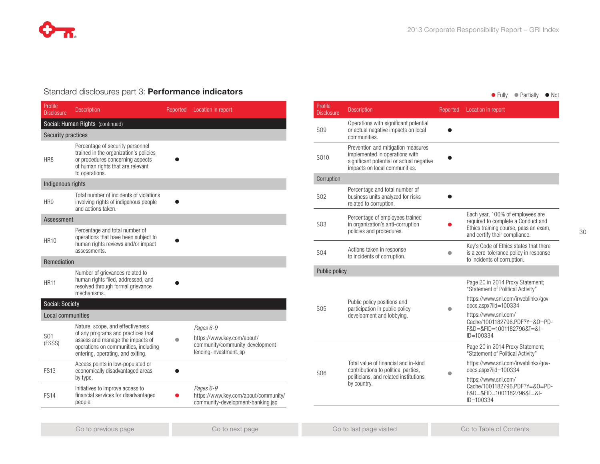

## Standard disclosures part 3: **Performance indicators and the state of the state of the Standard disclosures part 3: Performance indicators and the Standard Contract of Partially I** Not

| Profile<br><b>Disclosure</b> | <b>Description</b>                                                                                                                                                                      | Reported | Location in report                                                                                    |
|------------------------------|-----------------------------------------------------------------------------------------------------------------------------------------------------------------------------------------|----------|-------------------------------------------------------------------------------------------------------|
|                              | Social: Human Rights (continued)                                                                                                                                                        |          |                                                                                                       |
| <b>Security practices</b>    |                                                                                                                                                                                         |          |                                                                                                       |
| HR8                          | Percentage of security personnel<br>trained in the organization's policies<br>or procedures concerning aspects<br>of human rights that are relevant<br>to operations.                   |          |                                                                                                       |
| Indigenous rights            |                                                                                                                                                                                         |          |                                                                                                       |
| HR9                          | Total number of incidents of violations<br>involving rights of indigenous people<br>and actions taken.                                                                                  |          |                                                                                                       |
| Assessment                   |                                                                                                                                                                                         |          |                                                                                                       |
| <b>HR10</b>                  | Percentage and total number of<br>operations that have been subject to<br>human rights reviews and/or impact<br>assessments.                                                            |          |                                                                                                       |
| Remediation                  |                                                                                                                                                                                         |          |                                                                                                       |
| <b>HR11</b>                  | Number of grievances related to<br>human rights filed, addressed, and<br>resolved through formal grievance<br>mechanisms.                                                               |          |                                                                                                       |
| Social: Society              |                                                                                                                                                                                         |          |                                                                                                       |
| Local communities            |                                                                                                                                                                                         |          |                                                                                                       |
| S01<br>(FSSS)                | Nature, scope, and effectiveness<br>of any programs and practices that<br>assess and manage the impacts of<br>operations on communities, including<br>entering, operating, and exiting. |          | Pages 6-9<br>https://www.key.com/about/<br>community/community-development-<br>lending-investment.jsp |
| <b>FS13</b>                  | Access points in low-populated or<br>economically disadvantaged areas<br>by type.                                                                                                       |          |                                                                                                       |
| <b>FS14</b>                  | Initiatives to improve access to<br>financial services for disadvantaged<br>people.                                                                                                     |          | Pages 6-9<br>https://www.key.com/about/community/<br>community-development-banking.jsp                |
|                              |                                                                                                                                                                                         |          |                                                                                                       |

| Profile<br><b>Disclosure</b> | <b>Description</b>                                                                                                                                | Reported | Location in report                                                                                                                               |
|------------------------------|---------------------------------------------------------------------------------------------------------------------------------------------------|----------|--------------------------------------------------------------------------------------------------------------------------------------------------|
| S <sub>09</sub>              | Operations with significant potential<br>or actual negative impacts on local<br>communities.                                                      |          |                                                                                                                                                  |
| S010                         | Prevention and mitigation measures<br>implemented in operations with<br>significant potential or actual negative<br>impacts on local communities. |          |                                                                                                                                                  |
| Corruption                   |                                                                                                                                                   |          |                                                                                                                                                  |
| S <sub>02</sub>              | Percentage and total number of<br>business units analyzed for risks<br>related to corruption.                                                     |          |                                                                                                                                                  |
| SO3                          | Percentage of employees trained<br>in organization's anti-corruption<br>policies and procedures.                                                  |          | Each year, 100% of employees are<br>required to complete a Conduct and<br>Ethics training course, pass an exam,<br>and certify their compliance. |
| S <sub>04</sub>              | Actions taken in response<br>to incidents of corruption.                                                                                          |          | Key's Code of Ethics states that there<br>is a zero-tolerance policy in response<br>to incidents of corruption.                                  |
| Public policy                |                                                                                                                                                   |          |                                                                                                                                                  |
|                              | Public policy positions and<br>participation in public policy<br>development and lobbying.                                                        |          | Page 20 in 2014 Proxy Statement;<br>"Statement of Political Activity"                                                                            |
| S <sub>05</sub>              |                                                                                                                                                   |          | https://www.snl.com/irweblinkx/gov-<br>docs.aspx?iid=100334                                                                                      |
|                              |                                                                                                                                                   |          | https://www.snl.com/<br>Cache/1001182796.PDF?Y=&O=PD-<br>F&D=&FID=1001182796&T=&I-<br>$ID = 100334$                                              |
| S <sub>06</sub>              | Total value of financial and in-kind<br>contributions to political parties,<br>politicians, and related institutions<br>by country.               |          | Page 20 in 2014 Proxy Statement;<br>"Statement of Political Activity"                                                                            |
|                              |                                                                                                                                                   |          | https://www.snl.com/irweblinkx/gov-<br>docs.aspx?iid=100334                                                                                      |
|                              |                                                                                                                                                   |          | https://www.snl.com/<br>Cache/1001182796.PDF?Y=&O=PD-<br>F&D=&FID=1001182796&T=&I-<br>$ID = 100334$                                              |
|                              |                                                                                                                                                   |          |                                                                                                                                                  |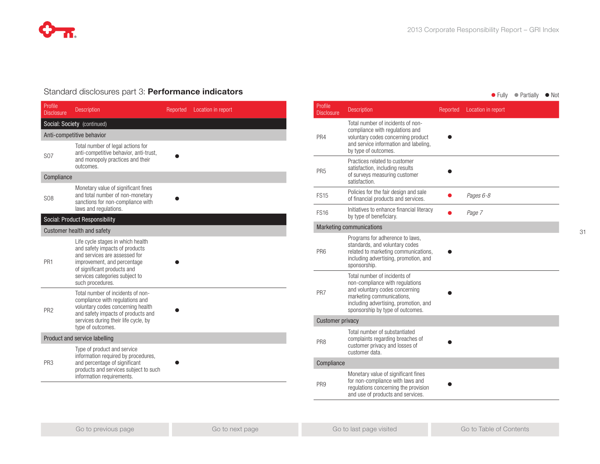## Standard disclosures part 3: **Performance indicators and the example of the Case of Tully Constants of Partially of Notice Article**

| Profile<br><b>Disclosure</b>  | <b>Description</b>                                                                                                                                                                                                       | Reported | Location in report |  |
|-------------------------------|--------------------------------------------------------------------------------------------------------------------------------------------------------------------------------------------------------------------------|----------|--------------------|--|
|                               | Social: Society (continued)                                                                                                                                                                                              |          |                    |  |
|                               | Anti-competitive behavior                                                                                                                                                                                                |          |                    |  |
| <b>S07</b>                    | Total number of legal actions for<br>anti-competitive behavior, anti-trust,<br>and monopoly practices and their<br>outcomes.                                                                                             |          |                    |  |
| Compliance                    |                                                                                                                                                                                                                          |          |                    |  |
| S <sub>08</sub>               | Monetary value of significant fines<br>and total number of non-monetary<br>sanctions for non-compliance with<br>laws and regulations.                                                                                    |          |                    |  |
|                               | <b>Social: Product Responsibility</b>                                                                                                                                                                                    |          |                    |  |
|                               | <b>Customer health and safety</b>                                                                                                                                                                                        |          |                    |  |
| PR <sub>1</sub>               | Life cycle stages in which health<br>and safety impacts of products<br>and services are assessed for<br>improvement, and percentage<br>of significant products and<br>services categories subject to<br>such procedures. |          |                    |  |
| PR <sub>2</sub>               | Total number of incidents of non-<br>compliance with regulations and<br>voluntary codes concerning health<br>and safety impacts of products and<br>services during their life cycle, by<br>type of outcomes.             |          |                    |  |
| Product and service labelling |                                                                                                                                                                                                                          |          |                    |  |
| PR <sub>3</sub>               | Type of product and service<br>information required by procedures,<br>and percentage of significant<br>products and services subject to such<br>information requirements.                                                |          |                    |  |

| Profile<br><b>Disclosure</b> | <b>Description</b>                                                                                                                                                                                          | Reported | Location in report |
|------------------------------|-------------------------------------------------------------------------------------------------------------------------------------------------------------------------------------------------------------|----------|--------------------|
| PR4                          | Total number of incidents of non-<br>compliance with regulations and<br>voluntary codes concerning product<br>and service information and labeling,<br>by type of outcomes.                                 |          |                    |
| PR <sub>5</sub>              | Practices related to customer<br>satisfaction, including results<br>of surveys measuring customer<br>satisfaction.                                                                                          |          |                    |
| <b>FS15</b>                  | Policies for the fair design and sale<br>of financial products and services.                                                                                                                                |          | Pages 6-8          |
| <b>FS16</b>                  | Initiatives to enhance financial literacy<br>by type of beneficiary.                                                                                                                                        |          | Page 7             |
|                              | <b>Marketing communications</b>                                                                                                                                                                             |          |                    |
| PR <sub>6</sub>              | Programs for adherence to laws,<br>standards, and voluntary codes<br>related to marketing communications,<br>including advertising, promotion, and<br>sponsorship.                                          |          |                    |
| PR7                          | Total number of incidents of<br>non-compliance with regulations<br>and voluntary codes concerning<br>marketing communications,<br>including advertising, promotion, and<br>sponsorship by type of outcomes. |          |                    |
| <b>Customer privacy</b>      |                                                                                                                                                                                                             |          |                    |
| PR <sub>8</sub>              | Total number of substantiated<br>complaints regarding breaches of<br>customer privacy and losses of<br>customer data.                                                                                       |          |                    |
| Compliance                   |                                                                                                                                                                                                             |          |                    |
| PR <sub>9</sub>              | Monetary value of significant fines<br>for non-compliance with laws and<br>regulations concerning the provision<br>and use of products and services.                                                        |          |                    |
|                              |                                                                                                                                                                                                             |          |                    |